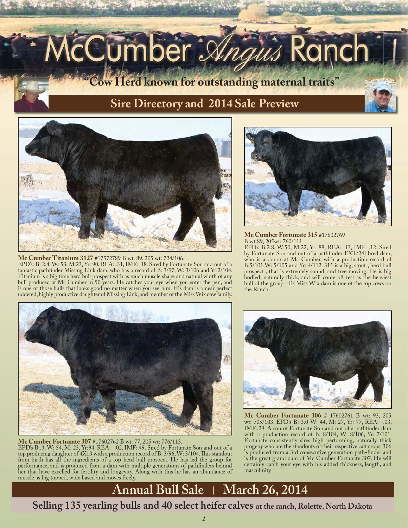# cCumber *Angus*

**"Cow Herd known for outstanding maternal traits"**

### **Sire Directory and 2014 Sale Preview**



**Mc Cumber Titanium 3127** #17572789 B wt: 89, 205 wt: 724/106.

EPD's: B: 2.4, W: 53, M:23, Yr: 90, REA: .31, IMF: .18. Sired by Fortunate Son and out of a fantastic pathfinder Missing Link dam, who has a record of B: 3/97, W: 3/106 and Yr:2/104. Titanium is a big time herd bull prospect with as much muscle shape and natural width of any bull produced at Mc Cumber in 50 years. He catches your eye when you enter the pen, and is one of those bulls that looks good no matter when you see him. His dam is a near perfect uddered, highly productive daughter of Missing Link, and member of the Miss Wix cow family.



**Mc Cumber Fortunate 307** #17602762 B wt: 77, 205 wt: 776/113. EPD's B:.3, W: 54, M: 23, Yr:94, REA: -.02, IMF:.49. Sired by Fortunate Son and out of a top producing daughter of 4X13 with a production record of B: 3/96, W: 3/104. This standout from birth has all the ingredients of a top herd bull prospect. He has led the group for performance, and is produced from a dam with multiple generations of pathfinders behind her that have excelled for fertility and longevity. Along with this he has an abundance of muscle, is big topped, wide based and moves freely.



**Mc Cumber Fortunate 315** #17602769 B wt:89, 205wt: 760/111 EPD's B:2.8, W:50, M:22, Yr: 88, REA: .13, IMF: .12. Sired by Fortunate Son and out of a pathfinder EXT/24J bred dam, who is a donor at Mc Cumber, with a production record of B:5/101,W: 5/105 and Yr: 4/112. 315 is a big, stout , herd bull prospect , that is extremely sound, and free moving. He is big bodied, naturally thick, and will come off test as the heaviest bull of the group. His Miss Wix dam is one of the top cows on the Ranch.



**Mc Cumber Fortunate 306** # 17602761 B wt: 93, 205 wt: 705/103. EPD's B: 3.0 W: 44, M: 27, Yr: 77, REA: -.03, IMF:.29. A son of Fortunate Son and out of a pathfinder dam with a production record of B: 8/104, W: 8/106, Yr: 7/101. Fortunate consistently sires high performing, naturally thick progeny who are the standouts of their respective calf crops. 306 is produced from a 3rd consecutive generation path-finder and is the great grand dam of Mc Cumber Fortunate 307. He will certainly catch your eye with his added thickness, length, and masculinity

## **Annual Bull Sale | March 26, 2014**

**Selling 135 yearling bulls and 40 select heifer calves at the ranch, Rolette, North Dakota**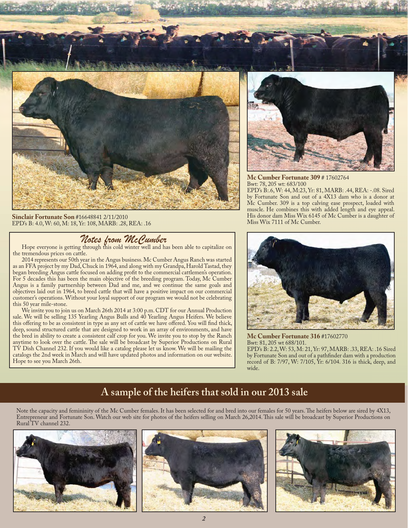

**Sinclair Fortunate Son** #16648841 2/11/2010 EPD's B: 4.0, W: 60, M: 18, Yr: 108, MARB: .28, REA: .16

*Notes from McCumber*<br>Hope everyone is getting through this cold winter well and has been able to capitalize on the tremendous prices on cattle.

2014 represents our 50th year in the Angus business. Mc Cumber Angus Ranch was started as an FFA project by my Dad, Chuck in 1964, and along with my Grandpa, Harold Tastad, they began breeding Angus cattle focused on adding profit to the commercial cattlemen's operation. For 5 decades this has been the main objective of the breeding program. Today, Mc Cumber Angus is a family partnership between Dad and me, and we continue the same goals and objectives laid out in 1964, to breed cattle that will have a positive impact on our commercial customer's operations. Without your loyal support of our program we would not be celebrating this 50 year mile-stone.

We invite you to join us on March 26th 2014 at 3:00 p.m. CDT for our Annual Production sale. We will be selling 135 Yearling Angus Bulls and 40 Yearling Angus Heifers. We believe this offering to be as consistent in type as any set of cattle we have offered. You will find thick, deep, sound structured cattle that are designed to work in an array of environments, and have the bred in ability to create a consistent calf crop for you. We invite you to stop by the Ranch anytime to look over the cattle. The sale will be broadcast by Superior Productions on Rural TV Dish Channel 232. If you would like a catalog please let us know. We will be mailing the catalogs the 2nd week in March and will have updated photos and information on our website. Hope to see you March 26th.



**Mc Cumber Fortunate 309** # 17602764 Bwt: 78, 205 wt: 683/100

EPD's B:.6, W: 44, M:23, Yr: 81, MARB: .44, REA: -.08. Sired by Fortunate Son and out of a 4X13 dam who is a donor at Mc Cumber. 309 is a top calving ease prospect, loaded with muscle. He combines this with added length and eye appeal. His donor dam Miss Wix 6145 of Mc Cumber is a daughter of Miss Wix 7111 of Mc Cumber.



**Mc Cumber Fortunate 316** #17602770 Bwt: 81, 205 wt 688/101. EPD's B: 2.2, W: 53, M: 21, Yr: 97, MARB: .33, REA: .16 Sired by Fortunate Son and out of a pathfinder dam with a production record of B: 7/97, W: 7/105, Yr: 6/104. 316 is thick, deep, and wide.

#### **A sample of the heifers that sold in our 2013 sale**

Note the capacity and femininity of the Mc Cumber females. It has been selected for and bred into our females for 50 years. The heifers below are sired by 4X13, Entrepreneur and Fortunate Son. Watch our web site for photos of the heifers selling on March 26,2014. This sale will be broadcast by Superior Productions on Rural TV channel 232.

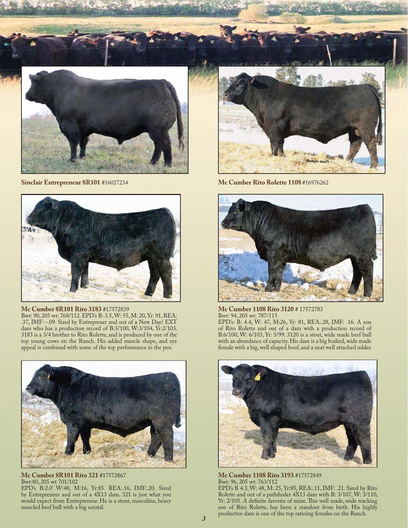



**Mc Cumber 8R101 Rito 3183** #17572839

Bwt: 90, 205 wt: 768/112. EPD's B: 3.5, W: 55, M: 20, Yr: 91, REA: .37, IMF: -.09. Sired by Entrepreuer and out of a New Day/ EXT dam who has a production record of B:3/100, W:3/104, Yr:2/103. 3183 is a 3/4 brother to Rito Rolette, and is produced by one of the top young cows on the Ranch. His added muscle shape, and eye appeal is combined with some of the top performance in the pen



**Mc Cumber 8R101 Rito 321** #17572867 Bwt:80, 205 wt 701/102 EPD's B:2.0' W:48, M:16, Yr:85. REA:.16, IMF:.20. Sired by Entrepreneur and out of a 4X13 dam. 321 is just what you would expect from Entrepreneur. He is a stout, masculine, heavy muscled beef bull with a big scrotal.



**Sinclair Entrepreneur 8R101** #16027234 **Mc Cumber Rito Rolette 1108** #16976262



**Mc Cumber 1108 Rito 3120** # 17572783 Bwt: 94, 205 wt: 787/115 EPD's: B: 4.4, W: 47, M:26, Yr: 81, REA:.28, IMF: .16. A son

of Rito Rolette and out of a dam with a production record of B:6/100, W: 6/103, Yr: 5/99. 3120 is a stout, wide made beef bull with an abundance of capacity. His dam is a big bodied, wide made female with a big, well shaped hoof, and a neat well attached udder.



**Mc Cumber 1108 Rito 3193** #17572849 Bwt: 96, 205 wt: 763/112 EPD's B 4.3, W: 48, M: 25, Yr:85, REA:.11, IMF: .21. Sired by Rito Rolette and out of a pathfinder 4X13 dam with B: 3/107, W: 3/110, Yr: 2/105. A definite favorite of mine. This well made, wide tracking son of Rito Rolette, has been a standout from birth. His highly productive dam is one of the top ratioing females on the Ranch.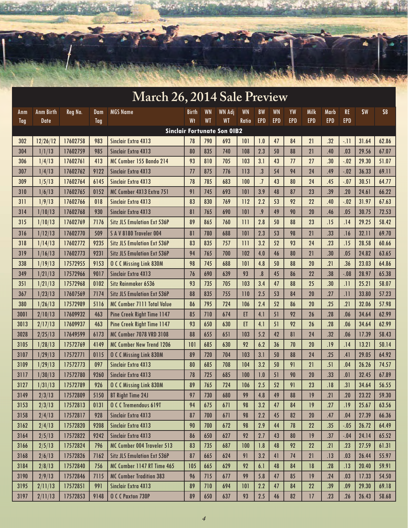|      |                  | <b>ASSESSED</b> | <b>CONSTRUCTION</b> |                                    |       |           |                                           |           |                   |            |            | A BERN Blue Blomer all all |            |            |       |            |
|------|------------------|-----------------|---------------------|------------------------------------|-------|-----------|-------------------------------------------|-----------|-------------------|------------|------------|----------------------------|------------|------------|-------|------------|
|      |                  |                 |                     | March 26, 2014 Sale Preview        |       |           |                                           |           |                   |            |            |                            |            |            |       |            |
| Anm  | <b>Anm Birth</b> | Reg No.         | Dam                 | <b>MGS Name</b>                    | Birth | <b>WN</b> | <b>WN Adj</b>                             | <b>WN</b> | <b>BW</b>         | <b>WN</b>  | YW         | Milk                       | Marb       | RE         | \$W   | <b>\$B</b> |
| Tag  | Date             |                 | Tag                 |                                    | Wt    | <b>WT</b> | <b>WT</b>                                 | Ratio     | <b>EPD</b>        | <b>EPD</b> | <b>EPD</b> | <b>EPD</b>                 | <b>EPD</b> | <b>EPD</b> |       |            |
| 302  | 12/26/12         | 17602758        | 983                 | Sinclair Extra 4X13                | 78    | 790       | <b>Sinclair Fortunate Son OIB2</b><br>693 | 101       | 1.0               | 47         | 84         | 21                         | .32        | $-11$      | 31.64 | 62.86      |
| 304  | 1/1/13           | 17602759        | 985                 | Sinclair Extra 4X13                | 80    | 835       | 740                                       | 108       | 2.3               | 50         | 88         | 21                         | .40        | .03        | 29.56 | 67.07      |
| 306  | 1/4/13           | 17602761        | 413                 | MC Cumber 155 Bando 214            | 93    | 810       | 705                                       | 103       | 3.1               | 43         | 77         | 27                         | .30        | $-.02$     | 29.30 | 51.07      |
| 307  | 1/4/13           | 17602762        | 9122                | Sinclair Extra 4X13                | 77    | 875       | 776                                       | 113       | $\cdot$           | 54         | 94         | 24                         | .49        | $-.02$     | 36.33 | 69.11      |
| 309  | 1/5/13           | 17602764        | 6145                | Sinclair Extra 4X13                | 78    | 785       | 683                                       | 100       | $.7\,$            | 43         | 80         | 24                         | .45        | $-.07$     | 30.51 | 64.77      |
| 310  | 1/6/13           | 17602765        | 0152                | MC Cumber 4X13 Extra 751           | 91    | 745       | 693                                       | 101       | 3.9               | 48         | 87         | 23                         | .39        | .20        | 24.61 | 66.22      |
| 311  | 1/9/13           | 17602766        | 018                 | <b>Sinclair Extra 4X13</b>         | 83    | 830       | 769                                       | 112       | 2.2               | 53         | 92         | 22                         | .40        | $-.02$     | 31.97 | 67.63      |
| 314  | 1/10/13          | 17602768        | 930                 | Sinclair Extra 4X13                | 81    | 765       | 690                                       | 101       | .9                | 49         | 90         | 20                         | .46        | .05        | 30.75 | 72.53      |
| 315  | 1/10/13          | 17602769        | 7176                | <b>Sitz JLS Emulation Ext 536P</b> | 89    | 865       | 760                                       | 111       | 2.8               | 50         | 88         | 23                         | .15        | .14        | 29.25 | 58.42      |
| 316  | 1/12/13          | 17602770        | 509                 | SAV 8180 Traveler 004              | 81    | 780       | 688                                       | 101       | 2.3               | 53         | 98         | 21                         | .33        | .16        | 32.11 | 69.70      |
| 318  | 1/14/13          | 17602772        | 9235                | <b>Sitz JLS Emulation Ext 536P</b> | 83    | 835       | 757                                       | 111       | 3.2               | 52         | 93         | 24                         | .23        | .15        | 28.58 | 60.66      |
| 319  | 1/16/13          | 17602773        | 9231                | <b>Sitz JLS Emulation Ext 536P</b> | 94    | 765       | 700                                       | 102       | 4.0               | 46         | 80         | 21                         | .30        | .05        | 24.82 | 63.65      |
| 338  | 1/19/13          | 17572955        | 9153                | <b>O C C Missing Link 830M</b>     | 98    | 745       | 688                                       | 101       | 4.8               | 50         | 88         | 20                         | .21        | .36        | 23.03 | 64.86      |
| 349  | 1/21/13          | 17572966        | 9017                | Sinclair Extra 4X13                | 76    | 690       | 639                                       | 93        | $\boldsymbol{.8}$ | 45         | 86         | 22                         | .38        | $-.08$     | 28.97 | 65.38      |
| 351  | 1/21/13          | 17572968        | 0102                | Sitz Rainmaker 6536                | 93    | 735       | 705                                       | 103       | 3.4               | 47         | 88         | 25                         | .30        | .11        | 25.21 | 58.07      |
| 367  | 1/23/13          | 17607569        | 7174                | <b>Sitz JLS Emulation Ext 536P</b> | 88    | 835       | 755                                       | 110       | 2.5               | 53         | 84         | 20                         | .27        | .11        | 33.80 | 57.23      |
| 380  | 1/26/13          | 17572989        | 5116                | <b>MC Cumber 7111 Total Value</b>  | 86    | 795       | 724                                       | 106       | 2.4               | 52         | 86         | 20                         | .25        | .21        | 32.06 | 57.98      |
| 3001 | 2/10/13          | 17609932        | 463                 | Pine Creek Right Time 1147         | 85    | 710       | 674                                       | ET        | 4.1               | 51         | 92         | 26                         | .28        | .06        | 34.64 | 62.99      |
| 3013 | 2/17/13          | 17609937        | 463                 | <b>Pine Creek Right Time 1147</b>  | 93    | 650       | 630                                       | ET.       | 4.1               | 51         | 92         | 26                         | .28        | .06        | 34.64 | 62.99      |
| 3028 | 2/25/13          | 17649599        | 6173                | <b>MC Cumber 7078 VRD 3108</b>     | 88    | 655       | 651                                       | 103       | 5.2               | 42         | 81         | 24                         | .32        | .06        | 17.39 | 58.43      |
| 3105 | 1/28/13          | 17572769        | 4149                | <b>MC Cumber New Trend 1206</b>    | 101   | 685       | 630                                       | 92        | 6.2               | 36         | 70         | 20                         | .19        | .14        | 13.21 | 50.14      |
| 3107 | 1/29/13          | 17572771        | 0115                | <b>O C C Missing Link 830M</b>     | 89    | 720       | 704                                       | 103       | 3.1               | 50         | 88         | 24                         | .25        | .41        | 29.05 | 64.92      |
| 3109 | 1/29/13          | 17572773        | 097                 | <b>Sinclair Extra 4X13</b>         | 80    | 685       | 708                                       | 104       | 3.2               | 50         | 91         | $\overline{2}$             | .51        | .04        | 26.26 | 74.57      |
| 3117 | 1/30/13          | 17572780        | 9260                | Sinclair Extra 4X13                | 78    | 725       | 685                                       | 100       | 1.0               | 51         | 90         | 20                         | .33        | .01        | 32.45 | 67.89      |
| 3127 | 1/31/13          | 17572789        | 926                 | <b>O C C Missing Link 830M</b>     | 89    | 765       | 724                                       | 106       | 2.5               | 52         | 91         | 23                         | .18        | .31        | 34.64 | 56.55      |
| 3149 | 2/3/13           | 17572809        | 5150                | <b>BT Right Time 24J</b>           | 97    | 730       | 680                                       | 99        | 4.8               | 49         | 88         | 19                         | .21        | .20        | 23.22 | 59.30      |
| 3153 | 2/3/13           | 17572813        | 0131                | OCC Tremendous 619T                | 94    | 675       | 671                                       | 98        | 3.2               | 47         | 84         | 19                         | .27        | .19        | 25.67 | 63.56      |
| 3158 | 2/4/13           | 17572817        | 928                 | Sinclair Extra 4X13                | 87    | 700       | 671                                       | 98        | 2.2               | 45         | 82         | 20                         | .47        | .04        | 27.39 | 66.36      |
| 3162 | 2/4/13           | 17572820        | 9208                | <b>Sinclair Extra 4X13</b>         | 90    | 700       | 672                                       | 98        | 2.9               | 44         | 78         | 22                         | .35        | $-.05$     | 26.72 | 64.49      |
| 3164 | 2/5/13           | 17572822        | 9242                | Sinclair Extra 4X13                | 86    | 650       | 627                                       | 92        | 2.7               | 43         | 80         | 19                         | .37        | $-.04$     | 24.14 | 65.52      |
| 3166 | 2/5/13           | 17572824        | 796                 | MC Cumber 004 Traveler 513         | 83    | 735       | 687                                       | 100       | 1.8               | 48         | 92         | 22                         | .21        | .23        | 27.59 | 61.31      |
| 3168 | 2/6/13           | 17572826        | 7162                | <b>Sitz JLS Emulation Ext 536P</b> | 87    | 665       | 624                                       | 91        | 3.2               | 41         | 74         | 21                         | .13        | .03        | 26.44 | 55.97      |
| 3184 | 2/8/13           | 17572840        | 756                 | MC Cumber 1147 RT Time 465         | 105   | 665       | 629                                       | 92        | 6.1               | 48         | 84         | 18                         | .28        | .13        | 20.40 | 59.91      |
| 3190 | 2/9/13           | 17572846        | 7115                | <b>MC Cumber Tradition 383</b>     | 96    | 715       | 677                                       | 99        | 5.8               | 47         | 85         | 19                         | .24        | .03        | 17.33 | 54.50      |
| 3195 | 2/11/13          | 17572851        | 991                 | Sinclair Extra 4X13                | 89    | 710       | 694                                       | 101       | 2.2               | 47         | 84         | 22                         | .39        | .09        | 29.30 | 69.18      |
| 3197 | 2/11/13          | 17572853        | 9148                | O C C Paxton 730P                  | 89    | 650       | 637                                       | 93        | 2.5               | 46         | 82         | 17                         | .23        | .26        | 26.43 | 58.68      |

ti V

**Ard**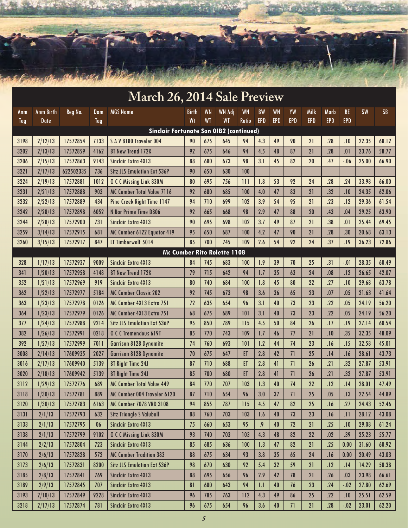

|                             | March 26, 2014 Sale Preview |           |            |                                                |              |           |               |           |            |            |            |            |            |            |       |            |
|-----------------------------|-----------------------------|-----------|------------|------------------------------------------------|--------------|-----------|---------------|-----------|------------|------------|------------|------------|------------|------------|-------|------------|
| Anm                         | <b>Anm Birth</b>            | Reg No.   | Dam        | <b>MGS</b> Name                                | <b>Birth</b> | <b>WN</b> | <b>WN Adj</b> | <b>WN</b> | <b>BW</b>  | <b>WN</b>  | YW         | Milk       | Marb       | <b>RE</b>  | \$W   | <b>\$B</b> |
| Tag                         | Date                        |           | <b>Tag</b> |                                                | Wt           | <b>WT</b> | WT            | Ratio     | <b>EPD</b> | <b>EPD</b> | <b>EPD</b> | <b>EPD</b> | <b>EPD</b> | <b>EPD</b> |       |            |
|                             |                             |           |            | <b>Sinclair Fortunate Son OIB2 (continued)</b> |              |           |               |           |            |            |            |            |            |            |       |            |
| 3198                        | 2/12/13                     | 17572854  | 7133       | SAV8180 Traveler 004                           | 90           | 675       | 645           | 94        | 4.3        | 49         | 90         | 21         | .28        | .10        | 22.35 | 68.12      |
| 3202                        | 2/13/13                     | 17572859  | 4162       | <b>BT New Trend 172K</b>                       | 92           | 675       | 646           | 94        | 4.5        | 48         | 87         | 21         | .28        | .01        | 23.76 | 58.77      |
| 3206                        | 2/15/13                     | 17572863  | 9143       | <b>Sinclair Extra 4X13</b>                     | 88           | 680       | 673           | 98        | 3.1        | 45         | 82         | 20         | .47        | $-.06$     | 25.00 | 66.90      |
| 3221                        | 2/17/13                     | 622502335 | 736        | <b>Sitz JLS Emulation Ext 536P</b>             | 90           | 650       | 630           | 100       |            |            |            |            |            |            |       |            |
| 3224                        | 2/19/13                     | 17572881  | 1012       | <b>O C C Missing Link 830M</b>                 | 80           | 695       | 756           | 111       | 1.8        | 53         | 92         | 24         | .28        | .24        | 33.98 | 66.00      |
| 3231                        | 2/21/13                     | 17572888  | 903        | <b>MC Cumber Total Value 7116</b>              | 92           | 680       | 685           | 100       | 4.0        | 47         | 83         | 21         | .32        | .10        | 24.35 | 62.06      |
| 3232                        | 2/22/13                     | 17572889  | 434        | <b>Pine Creek Right Time 1147</b>              | 94           | 710       | 699           | 102       | 3.9        | 54         | 95         | 21         | .23        | .12        | 29.36 | 61.54      |
| 3242                        | 2/28/13                     | 17572898  | 6052       | N Bar Prime Time D806                          | 92           | 665       | 668           | 98        | 2.9        | 47         | 88         | 20         | .43        | .04        | 29.25 | 63.90      |
| 3244                        | 2/28/13                     | 17572900  | 731        | Sinclair Extra 4X13                            | 90           | 695       | 698           | 102       | 3.7        | 49         | 87         | 21         | .38        | .01        | 25.44 | 69.45      |
| 3259                        | 3/14/13                     | 17572915  | 681        | MC Cumber 6122 Equator 419                     | 95           | 650       | 687           | 100       | 4.2        | 47         | 90         | 21         | .28        | .30        | 20.68 | 63.13      |
| 3260                        | 3/15/13                     | 17572917  | 847        | LT Timberwolf 5014                             | 85           | 700       | 745           | 109       | 2.6        | 54         | 92         | 24         | .37        | .19        | 36.23 | 72.86      |
| Mc Cumber Rito Rolette 1108 |                             |           |            |                                                |              |           |               |           |            |            |            |            |            |            |       |            |
| 328                         | 1/17/13                     | 17572937  | 9009       | Sinclair Extra 4X13                            | 84           | 745       | 683           | 100       | 1.9        | 39         | 70         | 25         | .31        | $-.01$     | 28.35 | 60.49      |
| 341                         | 1/20/13                     | 17572958  | 4148       | <b>BT New Trend 172K</b>                       | 79           | 715       | 642           | 94        | 1.7        | 35         | 63         | 24         | .08        | .12        | 26.65 | 42.07      |
| 352                         | 1/21/13                     | 17572969  | 919        | Sinclair Extra 4X13                            | 80           | 740       | 684           | 100       | 1.8        | 45         | 80         | 22         | .27        | .10        | 29.68 | 63.78      |
| 362                         | 1/22/13                     | 17572977  | 5184       | <b>MC Cumber Classic 202</b>                   | 92           | 745       | 673           | 98        | 3.6        | 36         | 65         | 23         | .07        | .05        | 21.63 | 41.64      |
| 363                         | 1/23/13                     | 17572978  | 0126       | MC Cumber 4X13 Extra 751                       | 72           | 635       | 654           | 96        | 3.1        | 40         | 73         | 23         | .22        | .05        | 24.19 | 56.20      |
| 364                         | 1/23/13                     | 17572979  | 0126       | MC Cumber 4X13 Extra 751                       | 68           | 675       | 689           | 101       | 3.1        | 40         | 73         | 23         | .22        | .05        | 24.19 | 56.20      |
| 377                         | 1/24/13                     | 17572988  | 9214       | <b>Sitz JLS Emulation Ext 536P</b>             | 95           | 850       | 789           | 115       | 4.5        | 50         | 84         | 26         | .17        | .19        | 27.14 | 60.54      |
| 382                         | 1/26/13                     | 17572991  | 0218       | O C C Tremendous 619T                          | 85           | 770       | 743           | 109       | 1.7        | 46         | 77         | 21         | .10        | .35        | 32.35 | 48.09      |
| 392                         | 1/27/13                     | 17572999  | 7011       | <b>Garrison 8128 Dynamite</b>                  | 74           | 760       | 693           | 101       | 1.2        | 44         | 74         | 23         | .16        | .15        | 32.58 | 45.01      |
| 3008                        | 2/14/13                     | 17609935  | 2027       | <b>Garrison 8128 Dynamite</b>                  | 70           | 675       | 647           | ET        | 2.8        | 42         | 71         | 25         | .14        | .16        | 28.61 | 43.73      |
| 3016                        | 2/17/13                     | 17609940  | 5139       | <b>BT Right Time 24J</b>                       | 87           | 710       | 688           | ET        | 2.8        | 41         | 71         | 26         | .21        | .32        | 27.87 | 53.91      |
| 3020                        | 2/18/13                     | 17609942  | 5139       | <b>BT Right Time 24J</b>                       | 85           | 700       | 680           | ET        | 2.8        | 41         | 71         | 26         | .21        | .32        | 27.87 | 53.91      |
| 3112                        | 1/29/13                     | 17572776  | 689        | <b>MC Cumber Total Value 449</b>               | 84           | 770       | 707           | 103       | 1.3        | 40         | 74         | 22         | .12        | .14        | 28.01 | 47.49      |
| 3118                        | 1/30/13                     | 17572781  | 889        | MC Cumber 004 Traveler 6120                    | 87           | 710       | 654           | 96        | 3.0        | 37         | 71         | 25         | .05        | .13        | 22.54 | 44.89      |
| 3120                        | 1/30/13                     | 17572783  | 6163       | <b>MC Cumber 7078 VRD 3108</b>                 | 94           | 855       | 787           | 115       | 4.5        | 47         | 82         | 25         | .16        | .27        | 24.43 | 52.46      |
| 3131                        | 2/1/13                      | 17572793  | 632        | Sitz Triangle S Valubull                       | 88           | 760       | 703           | 103       | 1.6        | 40         | 73         | 23         | .16        | .11        | 28.12 | 43.08      |
| 3133                        | 2/1/13                      | 17572795  | 06         | Sinclair Extra 4X13                            | 75           | 660       | 653           | 95        | .9         | 40         | 72         | 21         | .25        | .10        | 29.08 | 61.24      |
| 3138                        | 2/1/13                      | 17572799  | 9102       | <b>O C C Missing Link 830M</b>                 | 93           | 740       | 703           | 103       | 4.3        | 48         | 82         | 22         | .02        | .39        | 25.23 | 55.77      |
| 3144                        | 2/2/13                      | 17572804  | 723        | Sinclair Extra 4X13                            | 85           | 685       | 636           | 100       | 1.3        | 47         | 82         | 21         | .25        | 0.00       | 31.60 | 60.92      |
| 3170                        | 2/6/13                      | 17572828  | 572        | <b>MC Cumber Tradition 383</b>                 | 88           | 675       | 634           | 93        | 3.8        | 35         | 65         | 24         | .16        | 0.00       | 20.49 | 43.03      |
| 3173                        | 2/6/13                      | 17572831  | 8200       | <b>Sitz JLS Emulation Ext 536P</b>             | 98           | 670       | 630           | 92        | 5.4        | 32         | 59         | 21         | .12        | .14        | 14.29 | 50.38      |
| 3185                        | 2/8/13                      | 17572841  | 769        | Sinclair Extra 4X13                            | 88           | 695       | 656           | 96        | 2.9        | 42         | 78         | 21         | .26        | .03        | 23.98 | 66.61      |
| 3189                        | 2/9/13                      | 17572845  | 707        | Sinclair Extra 4X13                            | 81           | 680       | 643           | 94        | 1.1        | 40         | 76         | 23         | .24        | $-.02$     | 27.80 | 62.69      |
| 3193                        | 2/10/13                     | 17572849  | 9228       | Sinclair Extra 4X13                            | 96           | 785       | 763           | 112       | 4.3        | 49         | 86         | 25         | .22        | .10        | 25.51 | 62.59      |
| 3218                        | 2/17/13                     | 17572874  | 781        | Sinclair Extra 4X13                            | 96           | 675       | 654           | 96        | 3.6        | 40         | 71         | 21         | .28        | $-.02$     | 23.01 | 62.20      |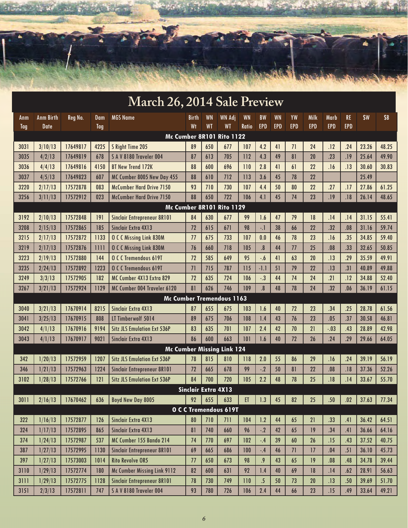

|      | <b>March 26, 2014 Sale Preview</b> |          |        |                                    |                            |           |                                   |              |                         |           |            |            |            |            |       |            |
|------|------------------------------------|----------|--------|------------------------------------|----------------------------|-----------|-----------------------------------|--------------|-------------------------|-----------|------------|------------|------------|------------|-------|------------|
| Anm  | <b>Anm Birth</b>                   | Reg No.  | $D$ am | <b>MGS Name</b>                    | <b>Birth</b>               | <b>WN</b> | <b>WN Adj</b>                     | <b>WN</b>    | <b>BW</b>               | <b>WN</b> | YW         | Milk       | Marb       | <b>RE</b>  | \$W   | <b>\$B</b> |
| Tag  | <b>Date</b>                        |          | Tag    |                                    | Wt                         | <b>WT</b> | <b>WT</b>                         | <b>Ratio</b> | <b>EPD</b>              | EPD       | <b>EPD</b> | <b>EPD</b> | <b>EPD</b> | <b>EPD</b> |       |            |
|      |                                    |          |        |                                    |                            |           | Mc Cumber 8R101 Rito 1122         |              |                         |           |            |            |            |            |       |            |
| 3031 | 3/10/13                            | 17649817 | 4225   | S Right Time 205                   | 89                         | 650       | 677                               | 107          | 4.2                     | 41        | 71         | 24         | .12        | .24        | 23.26 | 48.25      |
| 3035 | 4/2/13                             | 17649819 | 678    | SAV8180 Traveler 004               | 87                         | 613       | 705                               | 112          | 4.3                     | 49        | 81         | 20         | .23        | .19        | 25.64 | 49.90      |
| 3036 | 4/4/13                             | 17649816 | 4150   | <b>BT New Trend 172K</b>           | 88                         | 600       | 696                               | 110          | 2.8                     | 41        | 61         | 22         | .16        | .13        | 30.60 | 30.83      |
| 3037 | 4/5/13                             | 17649823 | 607    | MC Cumber 8005 New Day 455         | 88                         | 610       | 712                               | 113          | 3.6                     | 45        | 78         | 22         |            |            | 25.49 |            |
| 3220 | 2/17/13                            | 17572878 | 083    | <b>McCumber Hard Drive 7150</b>    | 93                         | 710       | 730                               | 107          | 4.4                     | 50        | 80         | 22         | .27        | .17        | 27.86 | 61.25      |
| 3256 | 3/11/13                            | 17572912 | 023    | <b>McCumber Hard Drive 7150</b>    | 88                         | 650       | 722                               | 106          | 4.1                     | 45        | 74         | 23         | .19        | .18        | 26.14 | 48.65      |
|      |                                    |          |        |                                    |                            |           | Mc Cumber 8R101 Rito 1129         |              |                         |           |            |            |            |            |       |            |
| 3192 | 2/10/13                            | 17572848 | 9      | <b>Sinclair Entrepreneur 8R101</b> | 84                         | 630       | 677                               | 99           | 1.6                     | 47        | 79         | 18         | .14        | .14        | 31.15 | 55.41      |
| 3208 | 2/15/13                            | 17572865 | 185    | Sinclair Extra 4X13                | 72                         | 615       | 671                               | 98           | $\cdot$ .               | 38        | 66         | 22         | .32        | .08        | 31.16 | 59.74      |
| 3215 | 2/17/13                            | 17572872 | 1133   | <b>O C C Missing Link 830M</b>     | 77                         | 675       | 733                               | 107          | 0.0                     | 46        | 78         | 23         | .16        | .35        | 34.85 | 59.40      |
| 3219 | 2/17/13                            | 17572876 | 1111   | <b>O C C Missing Link 830M</b>     | 76                         | 660       | 718                               | 105          | $\overline{\bf 8}$      | 44        | 77         | 25         | .08        | .33        | 32.65 | 50.85      |
| 3223 | 2/19/13                            | 17572880 | 144    | O C C Tremendous 619T              | 72                         | 585       | 649                               | 95           | $-6$                    | 41        | 63         | 20         | .13        | .29        | 35.59 | 49.91      |
| 3235 | 2/24/13                            | 17572892 | 1223   | O C C Tremendous 619T              | 71                         | 715       | 787                               | 115          | $-1.1$                  | 51        | 79         | 22         | .13        | .31        | 40.89 | 49.88      |
| 3249 | 3/3/13                             | 17572905 | 182    | MC Cumber 4X13 Extra 829           | 72                         | 635       | 724                               | 106          | $-.3$                   | 44        | 74         | 24         | .21        | .12        | 34.88 | 52.40      |
| 3267 | 3/21/13                            | 17572924 | 1129   | MC Cumber 004 Traveler 6120        | 81                         | 626       | 746                               | 109          | $\overline{\mathbf{8}}$ | 48        | 78         | 24         | .32        | .06        | 36.19 | 61.15      |
|      | Mc Cumber Tremendous 1163          |          |        |                                    |                            |           |                                   |              |                         |           |            |            |            |            |       |            |
| 3040 | 3/21/13                            | 17670914 | 8215   | Sinclair Extra 4X13                | 87                         | 655       | 675                               | 103          | 1.6                     | 40        | 72         | 23         | .34        | .25        | 28.78 | 61.56      |
| 3041 | 3/25/13                            | 17670915 | 808    | LT Timberwolf 5014                 | 89                         | 675       | 706                               | 108          | 1.4                     | 43        | 76         | 23         | .05        | .37        | 30.58 | 46.81      |
| 3042 | 4/1/13                             | 17670916 | 9194   | <b>Sitz JLS Emulation Ext 536P</b> | 83                         | 635       | 701                               | 107          | 2.4                     | 42        | 70         | 21         | $-.03$     | .43        | 28.89 | 42.98      |
| 3043 | 4/1/13                             | 17670917 | 9021   | Sinclair Extra 4X13                | 86                         | 600       | 663                               | 101          | 1.6                     | 40        | 72         | 26         | .24        | .29        | 29.66 | 64.05      |
|      |                                    |          |        |                                    |                            |           | <b>Mc Cumber Missing Link 124</b> |              |                         |           |            |            |            |            |       |            |
| 342  | 1/20/13                            | 17572959 | 1207   | <b>Sitz JLS Emulation Ext 536P</b> | 78                         | 815       | 810                               | 118          | 2.0                     | 55        | 86         | 29         | .16        | .24        | 39.19 | 56.19      |
| 346  | 1/21/13                            | 17572963 | 1224   | <b>Sinclair Entrepreneur 8R101</b> | 72                         | 665       | 678                               | 99           | $-2$                    | 50        | 81         | 22         | .08        | .18        | 37.36 | 52.26      |
| 3102 | 1/28/13                            | 17572766 | 121    | <b>Sitz JLS Emulation Ext 536P</b> | 84                         | 700       | 720                               | 105          | 2.2                     | 48        | 78         | 25         | .18        | .14        | 33.67 | 55.70      |
|      |                                    |          |        |                                    | <b>Sinclair Extra 4X13</b> |           |                                   |              |                         |           |            |            |            |            |       |            |
| 3011 | 2/16/13                            | 17670462 | 636    | Boyd New Day 8005                  | 92                         | 655       | 633                               | ET.          | 1.3                     | 45        | 82         | 25         | .50        | .02        | 37.63 | 77.34      |
|      |                                    |          |        |                                    |                            |           | O C C Tremendous 619T             |              |                         |           |            |            |            |            |       |            |
| 322  | 1/16/13                            | 17572877 | 126    | <b>Sinclair Extra 4X13</b>         | 80                         | 710       | 711                               | 104          | 1.2                     | 44        | 65         | 21         | .33        | .41        | 36.42 | 64.51      |
| 324  | 1/17/13                            | 17572895 | 865    | Sinclair Extra 4X13                | 81                         | 740       | 660                               | 96           | $-.2$                   | 42        | 65         | 9          | .34        | .41        | 36.66 | 64.16      |
| 374  | 1/24/13                            | 17572987 | 537    | MC Cumber 155 Bando 214            | 74                         | 770       | 697                               | 102          | $-4$                    | 39        | 60         | 26         | .15        | .43        | 37.52 | 40.75      |
| 387  | 1/27/13                            | 17572995 | 1130   | <b>Sinclair Entrepreneur 8R101</b> | 69                         | 665       | 686                               | 100          | $-.4$                   | 46        | 71         | 17         | .04        | .51        | 36.10 | 45.73      |
| 397  | 1/27/13                            | 17573003 | 1014   | <b>Rito Revolve OR5</b>            | 77                         | 650       | 673                               | 98           | $\overline{.9}$         | 43        | 65         | 19         | .08        | .48        | 34.78 | 39.44      |
| 3110 | 1/29/13                            | 17572774 | 180    | Mc Cumber Missing Link 9112        | 82                         | 600       | 631                               | 92           | 1.4                     | 40        | 69         | 18         | .14        | .62        | 28.91 | 56.63      |
| 3111 | 1/29/13                            | 17572775 | 1128   | Sinclair Entrepreneur 8R101        | 78                         | 730       | 749                               | 110          | $\overline{.5}$         | 50        | 73         | 20         | .13        | .50        | 39.69 | 51.70      |
| 3151 | 2/3/13                             | 17572811 | 747    | SAV 8180 Traveler 004              | 93                         | 780       | 726                               | 106          | 2.4                     | 44        | 66         | 23         | .15        | .49        | 33.64 | 49.21      |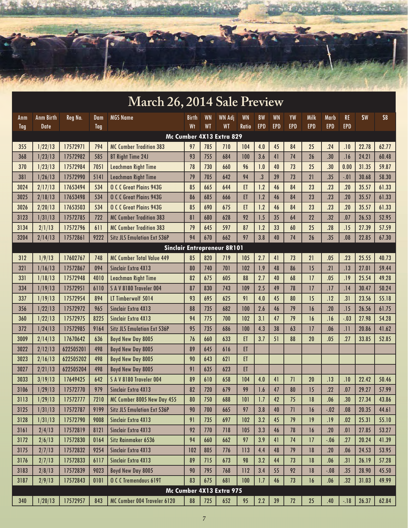

|                                    | <b>March 26, 2014 Sale Preview</b> |           |                   |                                    |             |                        |                            |                    |                         |                         |                  |                    |                    |                         |       |            |
|------------------------------------|------------------------------------|-----------|-------------------|------------------------------------|-------------|------------------------|----------------------------|--------------------|-------------------------|-------------------------|------------------|--------------------|--------------------|-------------------------|-------|------------|
| Anm<br>Tag                         | <b>Anm Birth</b><br><b>Date</b>    | Reg No.   | Dam<br><b>Tag</b> | <b>MGS Name</b>                    | Birth<br>Wt | <b>WN</b><br><b>WT</b> | <b>WN Adj</b><br><b>WT</b> | <b>WN</b><br>Ratio | <b>BW</b><br><b>EPD</b> | <b>WN</b><br><b>EPD</b> | YW<br><b>EPD</b> | Milk<br><b>EPD</b> | Marb<br><b>EPD</b> | <b>RE</b><br><b>EPD</b> | \$W   | <b>\$B</b> |
|                                    |                                    |           |                   |                                    |             |                        | Mc Cumber 4X13 Extra 829   |                    |                         |                         |                  |                    |                    |                         |       |            |
| 355                                | 1/22/13                            | 17572971  | 794               | <b>MC Cumber Tradition 383</b>     | 97          | 785                    | 710                        | 104                | 4.0                     | 45                      | 84               | 25                 | .24                | .10                     | 22.78 | 62.77      |
| 368                                | 1/23/13                            | 17572982  | 585               | <b>BT Right Time 24J</b>           | 93          | 755                    | 684                        | 100                | 3.6                     | 41                      | 74               | 26                 | .30                | .16                     | 24.21 | 60.48      |
| 370                                | 1/23/13                            | 17572984  | 7051              | <b>Leachman Right Time</b>         | 78          | 730                    | 660                        | 96                 | 1.0                     | 40                      | 73               | 25                 | .30                | 0.00                    | 31.35 | 59.87      |
| 381                                | 1/26/13                            | 17572990  | 5141              | Leachman Right Time                | 79          | 705                    | 642                        | 94                 | $\overline{\mathbf{3}}$ | 39                      | 73               | 21                 | .35                | $-.01$                  | 30.68 | 58.30      |
| 3024                               | 2/17/13                            | 17653494  | 534               | O C C Great Plains 943G            | 85          | 665                    | 644                        | ET                 | 1.2                     | 46                      | 84               | 23                 | .23                | .20                     | 35.57 | 61.33      |
| 3025                               | 2/18/13                            | 17653498  | 534               | O C C Great Plains 943G            | 86          | 685                    | 666                        | ET                 | 1.2                     | 46                      | 84               | 23                 | .23                | .20                     | 35.57 | 61.33      |
| 3026                               | 2/20/13                            | 17653503  | 534               | O C C Great Plains 943G            | 85          | 690                    | 675                        | ET                 | 1.2                     | 46                      | 84               | 23                 | .23                | .20                     | 35.57 | 61.33      |
| 3123                               | 1/31/13                            | 17572785  | 722               | <b>MC Cumber Tradition 383</b>     | 81          | 680                    | 628                        | 92                 | 1.5                     | 35                      | 64               | 22                 | .32                | .07                     | 26.53 | 52.95      |
| 3134                               | 2/1/13                             | 17572796  | 611               | <b>MC Cumber Tradition 383</b>     | 79          | 645                    | 597                        | 87                 | 1.2                     | 33                      | 60               | 25                 | .28                | .15                     | 27.39 | 57.59      |
| 3204                               | 2/14/13                            | 17572861  | 9222              | <b>Sitz JLS Emulation Ext 536P</b> | 94          | 670                    | 662                        | 97                 | 3.8                     | 40                      | 74               | 26                 | .35                | .08                     | 22.85 | 67.30      |
| <b>Sinclair Entrepreneur 8R101</b> |                                    |           |                   |                                    |             |                        |                            |                    |                         |                         |                  |                    |                    |                         |       |            |
| 312                                | 1/9/13                             | 17602767  | 748               | <b>MC Cumber Total Value 449</b>   | 85          | 820                    | 719                        | 105                | 2.7                     | 41                      | 73               | 21                 | .05                | .23                     | 25.55 | 40.73      |
| 321                                | 1/16/13                            | 17572867  | 094               | Sinclair Extra 4X13                | 80          | 740                    | 701                        | 102                | 1.9                     | 48                      | 86               | 15                 | .21                | .13                     | 27.01 | 59.44      |
| 331                                | 1/18/13                            | 17572948  | 4010              | <b>Leachman Right Time</b>         | 82          | 675                    | 605                        | 88                 | 2.7                     | 40                      | 68               | 17                 | .05                | .19                     | 25.54 | 49.28      |
| 334                                | 1/19/13                            | 17572951  | 6110              | SAV 8180 Traveler 004              | 87          | 830                    | 743                        | 109                | 2.5                     | 49                      | 78               | 17                 | .17                | .14                     | 30.47 | 50.24      |
| 337                                | 1/19/13                            | 17572954  | 894               | LT Timberwolf 5014                 | 93          | 695                    | 625                        | 91                 | 4.0                     | 45                      | 80               | 15                 | .12                | .31                     | 23.56 | 55.18      |
| 356                                | 1/22/13                            | 17572972  | 965               | Sinclair Extra 4X13                | 88          | 735                    | 682                        | 100                | 2.6                     | 46                      | 79               | 16                 | .20                | .15                     | 26.56 | 61.75      |
| 360                                | 1/22/13                            | 17572975  | 8225              | <b>Sinclair Extra 4X13</b>         | 94          | 775                    | 700                        | 102                | 3.1                     | 47                      | 79               | 16                 | .16                | $-.03$                  | 27.98 | 54.28      |
| 372                                | 1/24/13                            | 17572985  | 9164              | <b>Sitz JLS Emulation Ext 536P</b> | 95          | 735                    | 686                        | 100                | 4.3                     | 38                      | 63               | 17                 | .06                | .11                     | 20.86 | 41.62      |
| 3009                               | 2/14/13                            | 17670642  | 636               | Boyd New Day 8005                  | 76          | 660                    | 633                        | ET                 | 3.7                     | 51                      | 88               | 20                 | .05                | .27                     | 33.85 | 52.85      |
| 3022                               | 2/12/13                            | 622505201 | 498               | Boyd New Day 8005                  | 89          | 645                    | 616                        | ET                 |                         |                         |                  |                    |                    |                         |       |            |
| 3023                               | 2/16/13                            | 622505202 | 498               | Boyd New Day 8005                  | 90          | 643                    | 621                        | ET                 |                         |                         |                  |                    |                    |                         |       |            |
| 3027                               | 2/21/13                            | 622505204 | 498               | Boyd New Day 8005                  | 91          | 635                    | 623                        | ET                 |                         |                         |                  |                    |                    |                         |       |            |
| 3033                               | 3/19/13                            | 17649425  | 642               | SAV8180 Traveler 004               | 89          | 610                    | 658                        | 104                | 4.0                     | 41                      | 71               | 20                 | .13                | .10                     | 22.42 | 50.46      |
| 3106                               | 1/29/13                            | 17572770  | 979               | Sinclair Extra 4X13                | 82          | 720                    | 679                        | 99                 | 1.6                     | 47                      | 80               | 15                 | .22                | .07                     | 29.27 | 57.99      |
| 3113                               | 1/29/13                            | 17572777  | 7210              | MC Cumber 8005 New Day 455         | 80          | 750                    | 688                        | 101                | 1.7                     | 42                      | 75               | 18                 | .06                | .30                     | 27.34 | 43.86      |
| 3125                               | 1/31/13                            | 17572787  | 9199              | <b>Sitz JLS Emulation Ext 536P</b> | 90          | 700                    | 665                        | 97                 | 3.8                     | 40                      | 71               | 16                 | $-.02$             | .08                     | 20.35 | 44.61      |
| 3128                               | 1/31/13                            | 17572790  | 9008              | Sinclair Extra 4X13                | 91          | 735                    | 697                        | 102                | 3.2                     | 45                      | 79               | 19                 | .19                | .02                     | 25.31 | 55.10      |
| 3161                               | 2/4/13                             | 17572819  | 8121              | Sinclair Extra 4X13                | 92          | 770                    | 718                        | 105                | 3.3                     | 46                      | 78               | 16                 | .20                | .01                     | 27.85 | 53.27      |
| 3172                               | 2/6/13                             | 17572830  | 0164              | Sitz Rainmaker 6536                | 94          | 660                    | 662                        | 97                 | 3.9                     | 41                      | 74               | 17                 | $-.06$             | .27                     | 20.24 | 41.39      |
| 3175                               | 2/7/13                             | 17572832  | 9254              | Sinclair Extra 4X13                | 102         | 805                    | 776                        | 113                | 4.4                     | 48                      | 79               | 18                 | .20                | .06                     | 24.53 | 53.95      |
| 3176                               | 2/7/13                             | 17572833  | 6117              | Sinclair Extra 4X13                | 89          | 715                    | 673                        | 98                 | 3.2                     | 44                      | 73               | 18                 | .06                | .31                     | 26.19 | 57.28      |
| 3183                               | 2/8/13                             | 17572839  | 9023              | Boyd New Day 8005                  | 90          | 795                    | 768                        | 112                | 3.4                     | 55                      | 92               | 18                 | $-.08$             | .35                     | 28.90 | 45.50      |
| 3187                               | 2/9/13                             | 17572843  | 0101              | O C C Tremendous 619T              | 83          | 675                    | 681                        | 100                | 1.7                     | 46                      | 73               | 16                 | .06                | .32                     | 31.03 | 49.99      |
|                                    |                                    |           |                   |                                    |             |                        | Mc Cumber 4X13 Extra 975   |                    |                         |                         |                  |                    |                    |                         |       |            |
| 340                                | 1/20/13                            | 17572957  | 843               | MC Cumber 004 Traveler 6120        | 88          | 725                    | 652                        | 95                 | 2.2                     | 39                      | 72               | 25                 | .40                | $-18$                   | 26.37 | 62.84      |

#### *7*